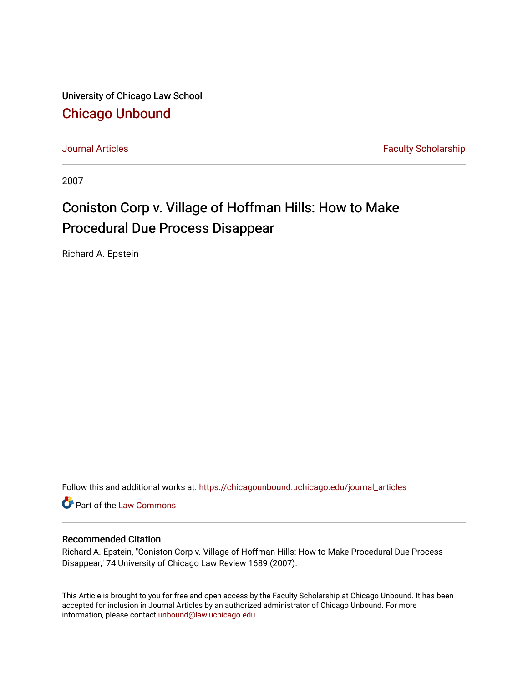University of Chicago Law School [Chicago Unbound](https://chicagounbound.uchicago.edu/)

[Journal Articles](https://chicagounbound.uchicago.edu/journal_articles) **Faculty Scholarship Journal Articles** 

2007

# Coniston Corp v. Village of Hoffman Hills: How to Make Procedural Due Process Disappear

Richard A. Epstein

Follow this and additional works at: [https://chicagounbound.uchicago.edu/journal\\_articles](https://chicagounbound.uchicago.edu/journal_articles?utm_source=chicagounbound.uchicago.edu%2Fjournal_articles%2F1202&utm_medium=PDF&utm_campaign=PDFCoverPages) 

Part of the [Law Commons](http://network.bepress.com/hgg/discipline/578?utm_source=chicagounbound.uchicago.edu%2Fjournal_articles%2F1202&utm_medium=PDF&utm_campaign=PDFCoverPages)

# Recommended Citation

Richard A. Epstein, "Coniston Corp v. Village of Hoffman Hills: How to Make Procedural Due Process Disappear," 74 University of Chicago Law Review 1689 (2007).

This Article is brought to you for free and open access by the Faculty Scholarship at Chicago Unbound. It has been accepted for inclusion in Journal Articles by an authorized administrator of Chicago Unbound. For more information, please contact [unbound@law.uchicago.edu](mailto:unbound@law.uchicago.edu).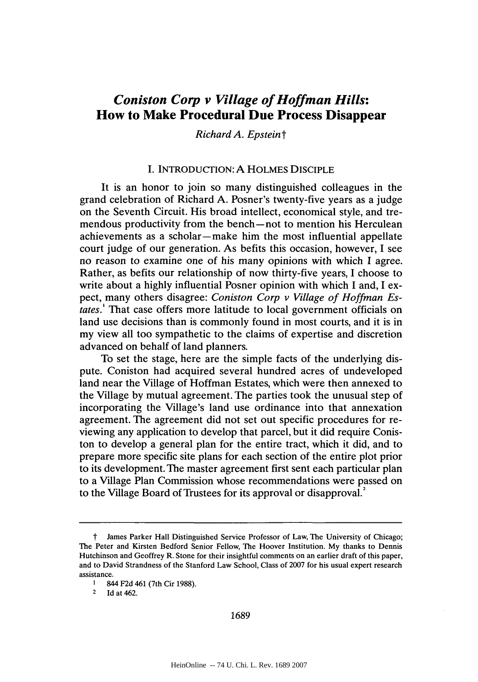# *Coniston Corp v Village of Hoffman Hills:* **How to Make Procedural Due Process Disappear**

*Richard A. Epsteint*

#### **I.** INTRODUCTION: **A** HOLMES DISCIPLE

It is an honor to join so many distinguished colleagues in the grand celebration of Richard **A.** Posner's twenty-five years as a judge on the Seventh Circuit. His broad intellect, economical style, and tremendous productivity from the bench-not to mention his Herculean achievements as a scholar-make him the most influential appellate court judge of our generation. As befits this occasion, however, **I** see no reason to examine one of his many opinions with which **I** agree. Rather, as befits our relationship of now thirty-five years, **I** choose to write about a **highly** influential Posner opinion with which **I** and, I expect, many others disagree: *Coniston Corp v Village of Hoffman Estates.'* That case offers more latitude to local government officials on land use decisions than is commonly found in most courts, and it is in my view all too sympathetic to the claims of expertise and discretion advanced on behalf of land planners.

To set the stage, here are the simple facts of the underlying dispute. Coniston had acquired several hundred acres of undeveloped land near the Village of Hoffman Estates, which were then annexed to the Village **by** mutual agreement. The parties took the unusual step of incorporating the Village's land use ordinance into that annexation agreement. The agreement did not set out specific procedures for reviewing any application to develop that parcel, but it did require Coniston to develop a general plan for the entire tract, which it did, and to prepare more specific site plans for each section of the entire plot prior to its development. The master agreement first sent each particular plan to a Village Plan Commission whose recommendations were passed on to the Village Board of Trustees for its approval or disapproval.

t James Parker Hall Distinguished Service Professor of Law, The University of Chicago; The Peter and Kirsten Bedford Senior Fellow, The Hoover Institution. **My** thanks to Dennis Hutchinson and Geoffrey R. Stone for their insightful comments on an earlier draft of this paper, and to David Strandness of the Stanford Law School, Class of **2007** for his usual expert research assistance.

**<sup>1</sup>** 844 **F2d** 461 (7th Cir **1988).**

<sup>2</sup> **Id** at 462.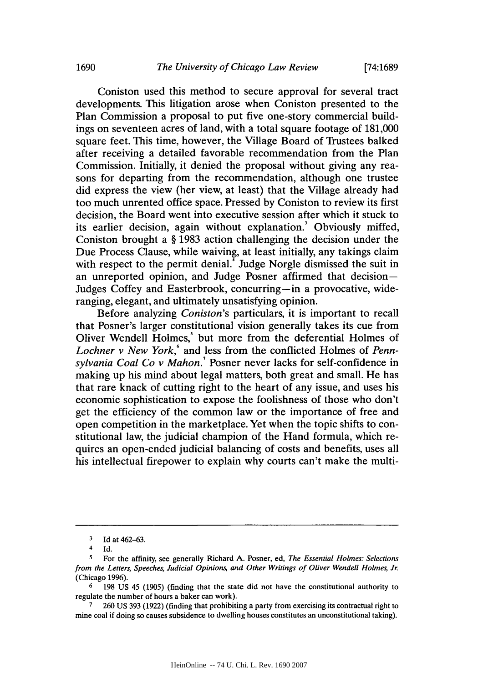Coniston used this method to secure approval for several tract developments. This litigation arose when Coniston presented to the Plan Commission a proposal to put five one-story commercial buildings on seventeen acres of land, with a total square footage of **181,000** square feet. This time, however, the Village Board of Trustees balked after receiving a detailed favorable recommendation from the Plan Commission. Initially, it denied the proposal without giving any reasons for departing from the recommendation, although one trustee did express the view (her view, at least) that the Village already had too much unrented office space. Pressed **by** Coniston to review its first decision, the Board went into executive session after which it stuck to its earlier decision, again without explanation.' Obviously miffed, Coniston brought a **§ 1983** action challenging the decision under the Due Process Clause, while waiving, at least initially, any takings claim with respect to the permit denial.<sup>7</sup> Judge Norgle dismissed the suit in an unreported opinion, and Judge Posner affirmed that decision-Judges Coffey and Easterbrook, concurring-in a provocative, wideranging, elegant, and ultimately unsatisfying opinion.

Before analyzing *Coniston's* particulars, it is important to recall that Posner's larger constitutional vision generally takes its cue from Oliver Wendell Holmes,' but more from the deferential Holmes of *Lochner v New York,'* and less from the conflicted Holmes of *Pennsylvania Coal Co v Mahon.'* Posner never lacks for self-confidence in making up his mind about legal matters, both great and small. He has that rare knack of cutting right to the heart of any issue, and uses his economic sophistication to expose the foolishness of those who don't get the efficiency of the common law or the importance of free and open competition in the marketplace. Yet when the topic shifts to constitutional law, the judicial champion of the Hand formula, which requires an open-ended judicial balancing of costs and benefits, uses all his intellectual firepower to explain why courts can't make the multi-

**<sup>3</sup> Id** at **462-63.**

<sup>4</sup> **Id.**

*<sup>5</sup>* For the affinity, see generally Richard **A.** Posner, ed, *The Essential Holmes: Selections from the Letters, Speeches, Judicial Opinions and Other Writings of Oliver Wendell Holmes, Jr.* (Chicago **1996).**

**<sup>6</sup> 198 US** 45 **(1905)** (finding that the state did not have the constitutional authority to regulate the number of hours a baker can work).

**<sup>7</sup> 260 US 393 (1922)** (finding that prohibiting a party from exercising its contractual right to mine coal if doing so causes subsidence to dwelling houses constitutes an unconstitutional taking).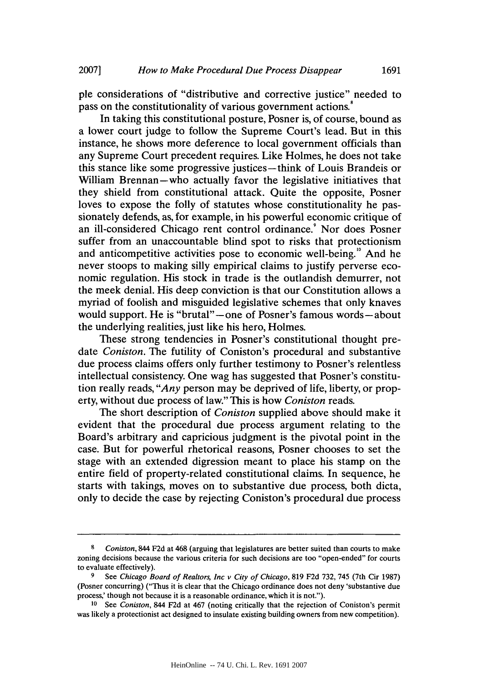ple considerations of "distributive and corrective justice" needed to pass on the constitutionality of various government actions.

In taking this constitutional posture, Posner is, of course, bound as a lower court judge to follow the Supreme Court's lead. But in this instance, he shows more deference to local government officials than any Supreme Court precedent requires. Like Holmes, he does not take this stance like some progressive justices-think of Louis Brandeis or William Brennan-who actually favor the legislative initiatives that they shield from constitutional attack. Quite the opposite, Posner loves to expose the folly of statutes whose constitutionality he passionately defends, as, for example, in his powerful economic critique of an ill-considered Chicago rent control ordinance.' Nor does Posner suffer from an unaccountable blind spot to risks that protectionism and anticompetitive activities pose to economic well-being." And he never stoops to making silly empirical claims to justify perverse economic regulation. His stock in trade is the outlandish demurrer, not the meek denial. His deep conviction is that our Constitution allows a myriad of foolish and misguided legislative schemes that only knaves would support. He is "brutal"-one of Posner's famous words-about the underlying realities, just like his hero, Holmes.

These strong tendencies in Posner's constitutional thought pre*date Coniston.* The futility of Coniston's procedural and substantive due process claims offers only further testimony to Posner's relentless intellectual consistency. One wag has suggested that Posner's constitution really reads, *"Any* person may be deprived of life, liberty, or property, without due process of law." This is how *Coniston reads.*

The short description of *Coniston* supplied above should make it evident that the procedural due process argument relating to the Board's arbitrary and capricious judgment is the pivotal point in the case. But for powerful rhetorical reasons, Posner chooses to set the stage with an extended digression meant to place his stamp on the entire field of property-related constitutional claims. In sequence, he starts with takings, moves on to substantive due process, both dicta, only to decide the case **by** rejecting Coniston's procedural due process

**<sup>8</sup>** *Coniston,* 844 **F2d** at 468 (arguing that legislatures are better suited than courts to make zoning decisions because the various criteria for such decisions are too "open-ended" for courts to evaluate effectively).

**<sup>9</sup>** *See Chicago Board of Realtors, Inc v City of Chicago,* **819 F2d 732,** 745 (7th Cir **1987)** (Posner concurring) ("Thus it is clear that the Chicago ordinance does not deny 'substantive due process,' though not because it is a reasonable ordinance, which it is not.").

**<sup>10</sup>** *See Coniston,* 844 **F2d** at 467 (noting critically that the rejection of Coniston's permit was likely a protectionist act designed to insulate existing building owners from new competition).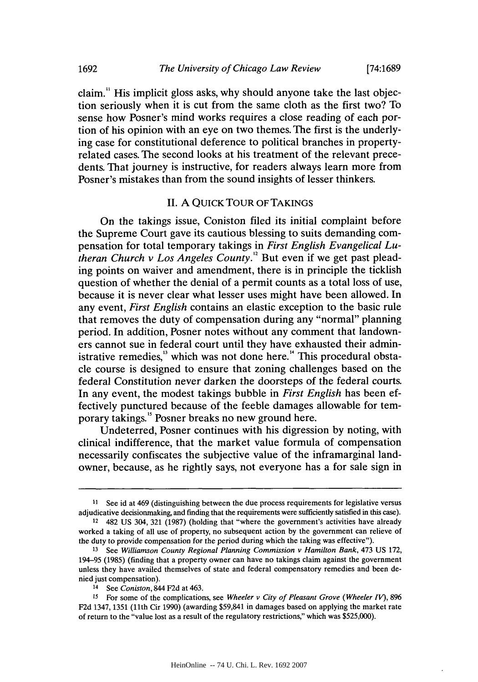claim." His implicit gloss asks, why should anyone take the last objection seriously when it is cut from the same cloth as the first two? To sense how Posner's mind works requires a close reading of each portion of his opinion with an eye on two themes. The first is the underlying case for constitutional deference to political branches in propertyrelated cases. The second looks at his treatment of the relevant precedents. That journey is instructive, for readers always learn more from Posner's mistakes than from the sound insights of lesser thinkers.

# **II. A** QUICK TOUR OF **TAKINGS**

On the takings issue, Coniston filed its initial complaint before the Supreme Court gave its cautious blessing to suits demanding compensation for total temporary takings in *First English Evangelical Lutheran Church v Los Angeles County."* But even if we get past pleading points on waiver and amendment, there is in principle the ticklish question of whether the denial of a permit counts as a total loss of use, because it is never clear what lesser uses might have been allowed. In any event, *First English* contains an elastic exception to the basic rule that removes the duty of compensation during any "normal" planning period. In addition, Posner notes without any comment that landowners cannot sue in federal court until they have exhausted their administrative remedies, $<sup>13</sup>$  which was not done here.<sup>14</sup> This procedural obsta-</sup> cle course is designed to ensure that zoning challenges based on the federal Constitution never darken the doorsteps of the federal courts. In any event, the modest takings bubble in *First English* has been effectively punctured because of the feeble damages allowable for temporary takings." Posner breaks no new ground here.

Undeterred, Posner continues with his digression **by** noting, with clinical indifference, that the market value formula of compensation necessarily confiscates the subjective value of the inframarginal landowner, because, as he rightly says, not everyone has a for sale sign in

14 See *Coniston,* 844 **F2d** at 463.

**<sup>11</sup>** See id at 469 (distinguishing between the due process requirements for legislative versus adjudicative decisionmaking, and finding that the requirements were sufficiently satisfied in this case).

<sup>12</sup> 482 **US** 304, **321 (1987)** (holding that "where the government's activities have already worked a taking of all use of property, no subsequent action **by** the government can relieve of the duty to provide compensation for the period during which the taking was effective").

**<sup>13</sup>** See *Williamson County Regional Planning Commission v Hamilton Bank,* 473 **US 172,** 194-95 **(1985)** (finding that a property owner can have no takings claim against the government unless they have availed themselves of state and federal compensatory remedies and been denied just compensation).

**<sup>15</sup>** For some of the complications, see *Wheeler v City of Pleasant Grove (Wheeler V),* **896 F2d** 1347, **1351 (11th** Cir **1990)** (awarding \$59,841 in damages based on applying the market rate of return to the "value lost as a result of the regulatory restrictions," which was **\$525,000).**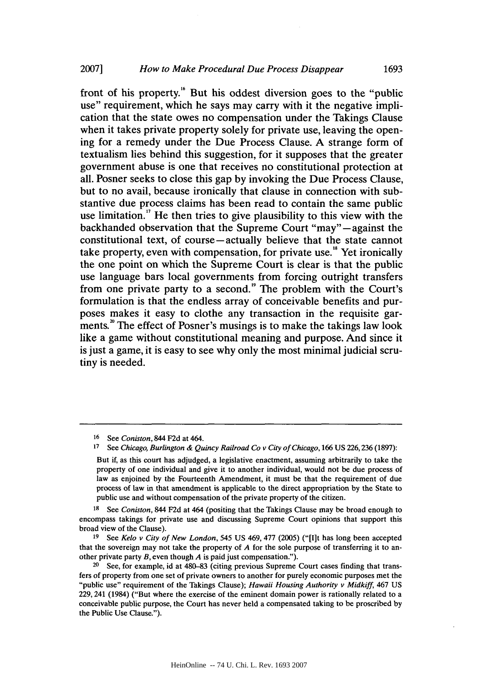front of his property." But his oddest diversion goes to the "public use" requirement, which he says may carry with it the negative implication that the state owes no compensation under the Takings Clause when it takes private property solely for private use, leaving the opening for a remedy under the Due Process Clause. **A** strange form of textualism lies behind this suggestion, for it supposes that the greater government abuse is one that receives no constitutional protection at all. Posner seeks to close this gap **by** invoking the Due Process Clause, but to no avail, because ironically that clause in connection with substantive due process claims has been read to contain the same public use limitation." He then tries to give plausibility to this view with the backhanded observation that the Supreme Court "may"-against the constitutional text, of course-actually believe that the state cannot take property, even with compensation, for private use." Yet ironically the one point on which the Supreme Court is clear is that the public use language bars local governments from forcing outright transfers from one private party to a second." The problem with the Court's formulation is that the endless array of conceivable benefits and purposes makes it easy to clothe any transaction in the requisite garments.<sup>20</sup> The effect of Posner's musings is to make the takings law look like a game without constitutional meaning and purpose. And since it is just a game, it is easy to see why only the most minimal judicial scrutiny is needed.

<sup>16</sup> See Coniston, 844 F2d at 464.<br><sup>17</sup> See Chicago Burlington & Ou

**<sup>17</sup>**See Chicago, Burlington **&** Quincy Railroad Co v City of Chicago, **166 US 226,236 (1897):**

But if, as this court has adjudged, a legislative enactment, assuming arbitrarily to take the property of one individual and give it to another individual, would not be due process of law as enjoined **by** the Fourteenth Amendment, it must be that the requirement of due process of law in that amendment is applicable to the direct appropriation **by** the State to public use and without compensation of the private property of the citizen.

**<sup>18</sup>**See Coniston, 844 **F2d** at 464 (positing that the Takings Clause may be broad enough to encompass takings for private use and discussing Supreme Court opinions that support this broad view of the Clause).

**<sup>19</sup>** See Kelo v City of New London, *545* **US** 469, **477 (2005)** ("[I]t has long been accepted that the sovereign may not take the property of *A* for the sole purpose of transferring it to another private party *B,* even though *A* is paid just compensation.").

<sup>20</sup> See, for example, id at **480-83** (citing previous Supreme Court cases finding that transfers of property from one set of private owners to another for purely economic purposes met the "public use" requirement of the Takings Clause); *Hawaii* Housing Authority v Midkiff, 467 **US** 229, 241 (1984) ("But where the exercise of the eminent domain power is rationally related to a conceivable public purpose, the Court has never held a compensated taking to be proscribed **by** the Public Use Clause.").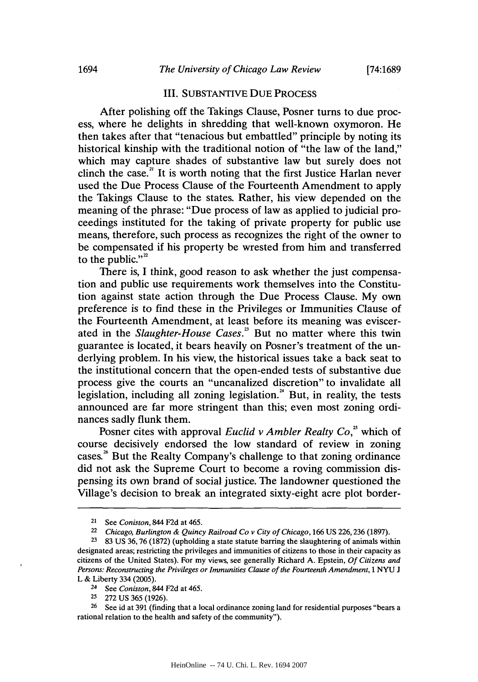# III. **SUBSTANTIVE DUE PROCESS**

After polishing off the Takings Clause, Posner turns to due process, where he delights in shredding that well-known oxymoron. He then takes after that "tenacious but embattled" principle **by** noting its historical kinship with the traditional notion of "the law of the land," which may capture shades of substantive law but surely does not clinch the case.<sup>21</sup> It is worth noting that the first Justice Harlan never used the Due Process Clause of the Fourteenth Amendment to apply the Takings Clause to the states. Rather, his view depended on the meaning of the phrase: "Due process of law as applied to judicial proceedings instituted for the taking of private property for public use means, therefore, such process as recognizes the right of the owner to be compensated if his property be wrested from him and transferred to the public." $2^2$ 

There is, **I** think, good reason to ask whether the just compensation and public use requirements work themselves into the Constitution against state action through the Due Process Clause. **My** own preference is to find these in the Privileges or Immunities Clause of the Fourteenth Amendment, at least before its meaning was eviscerated in the *Slaughter-House Cases."* But no matter where this twin guarantee is located, it bears heavily on Posner's treatment of the underlying problem. In his view, the historical issues take a back seat to the institutional concern that the open-ended tests of substantive due process give the courts an "uncanalized discretion" to invalidate all legislation, including all zoning legislation. $^{24}$  But, in reality, the tests announced are far more stringent than this; even most zoning ordinances sadly flunk them.

Posner cites with approval *Euclid v Ambler Realty Co*,<sup>25</sup> which of course decisively endorsed the low standard of review in zoning cases.<sup>26</sup> But the Realty Company's challenge to that zoning ordinance did not ask the Supreme Court to become a roving commission dispensing its own brand of social justice. The landowner questioned the Village's decision to break an integrated sixty-eight acre plot border-

**<sup>21</sup>**See *Coniston,* 844 **F2d** at *465.*

**<sup>22</sup>***Chicago, Burlington & Quincy Railroad Co v City of Chicago,* **166 US 226,236 (1897).**

**<sup>2 83</sup> US 36,76 (1872)** (upholding a state statute barring the slaughtering of animals within designated areas; restricting the privileges and immunities of citizens to those in their capacity as citizens of the United States). For my views, see generally Richard **A.** Epstein, *Of Citizens and Persons: Reconstructing the Privileges or Immunities Clause of the Fourteenth Amendment, 1* **NYU J** L **&** Liberty 334 **(2005).**

**<sup>24</sup>**See *Coniston,* 844 **F2d** at *465.*

<sup>25 272</sup> US 365 (1926).

<sup>&</sup>lt;sup>26</sup> See id at 391 (finding that a local ordinance zoning land for residential purposes "bears a rational relation to the health and safety of the community").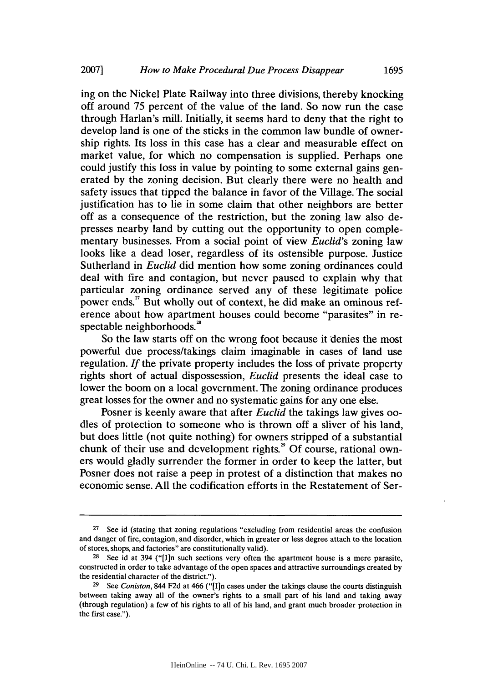ing on the Nickel Plate Railway into three divisions, thereby knocking off around *75* percent of the value of the land. So now run the case through Harlan's mill. Initially, it seems hard to deny that the right to develop land is one of the sticks in the common law bundle of ownership rights. Its loss in this case has a clear and measurable effect on market value, for which no compensation is supplied. Perhaps one could justify this loss in value **by** pointing to some external gains generated **by** the zoning decision. But clearly there were no health and safety issues that tipped the balance in favor of the Village. The social justification has to lie in some claim that other neighbors are better off as a consequence of the restriction, but the zoning law also depresses nearby land **by** cutting out the opportunity to open complementary businesses. From a social point of view *Euclid's* zoning law looks like a dead loser, regardless of its ostensible purpose. Justice Sutherland in *Euclid* did mention how some zoning ordinances could deal with fire and contagion, but never paused to explain why that particular zoning ordinance served any of these legitimate police power ends.<sup>27</sup> But wholly out of context, he did make an ominous reference about how apartment houses could become "parasites" in respectable neighborhoods.<sup>28</sup>

So the law starts off on the wrong foot because it denies the most powerful due process/takings claim imaginable in cases of land use regulation. *If* the private property includes the loss of private property rights short of actual dispossession, *Euclid* presents the ideal case to lower the boom on a local government. The zoning ordinance produces great losses for the owner and no systematic gains for any one else.

Posner is keenly aware that after *Euclid* the takings law gives oodles of protection to someone who is thrown off a sliver of his land, but does little (not quite nothing) for owners stripped of a substantial chunk of their use and development rights.<sup>29</sup> Of course, rational owners would gladly surrender the former in order to keep the latter, but Posner does not raise a peep in protest of a distinction that makes no economic sense. **All** the codification efforts in the Restatement of Ser-

<sup>&</sup>lt;sup>27</sup> See id (stating that zoning regulations "excluding from residential areas the confusion and danger of fire, contagion, and disorder, which in greater or less degree attach to the location of stores, shops, and factories" are constitutionally valid).

<sup>&</sup>lt;sup>28</sup> See id at 394 ("[I]n such sections very often the apartment house is a mere parasite, constructed in order to take advantage of the open spaces and attractive surroundings created **by** the residential character of the district.").

**<sup>29</sup>**See *Coniston,* 844 **F2d** at 466 ("[I1n cases under the takings clause the courts distinguish between taking away all of the owner's rights to a small part of his land and taking away (through regulation) a few of his rights to all of his land, and grant much broader protection in the first case.").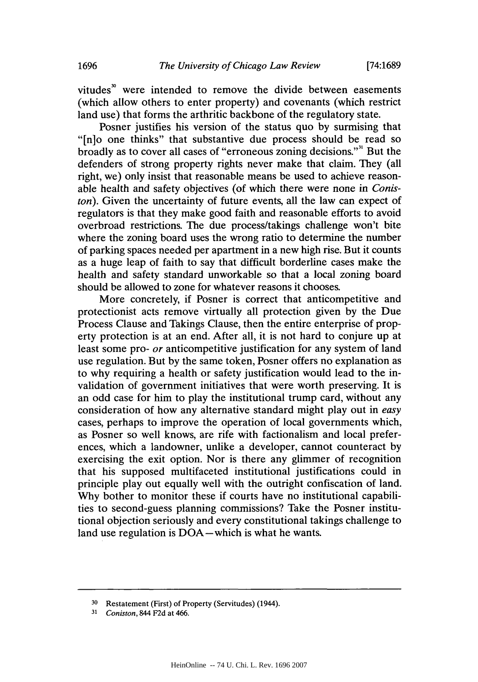vitudes<sup>"</sup> were intended to remove the divide between easements (which allow others to enter property) and covenants (which restrict land use) that forms the arthritic backbone of the regulatory state.

Posner justifies his version of the status quo **by** surmising that "[n]o one thinks" that substantive due process should be read so broadly as to cover all cases of "erroneous zoning decisions."" But the defenders of strong property rights never make that claim. They (all right, we) only insist that reasonable means be used to achieve reasonable health and safety objectives (of which there were none in *Coniston).* Given the uncertainty of future events, all the law can expect of regulators is that they make good faith and reasonable efforts to avoid overbroad restrictions. The due process/takings challenge won't bite where the zoning board uses the wrong ratio to determine the number of parking spaces needed per apartment in a new high rise. But it counts as a huge leap of faith to say that difficult borderline cases make the health and safety standard unworkable so that a local zoning board should be allowed to zone for whatever reasons it chooses.

More concretely, if Posner is correct that anticompetitive and protectionist acts remove virtually all protection given **by** the Due Process Clause and Takings Clause, then the entire enterprise of property protection is at an end. After all, it is not hard to conjure up at least some pro- *or* anticompetitive justification for any system of land use regulation. But **by** the same token, Posner offers no explanation as to why requiring a health or safety justification would lead to the invalidation of government initiatives that were worth preserving. It is an odd case for him to play the institutional trump card, without any consideration of how any alternative standard might play out in *easy* cases, perhaps to improve the operation of local governments which, as Posner so well knows, are rife with factionalism and local preferences, which a landowner, unlike a developer, cannot counteract **by** exercising the exit option. Nor is there any glimmer of recognition that his supposed multifaceted institutional justifications could in principle play out equally well with the outright confiscation of land. **Why** bother to monitor these if courts have no institutional capabilities to second-guess planning commissions? Take the Posner institutional objection seriously and every constitutional takings challenge to land use regulation is DOA-which is what he wants.

**<sup>30</sup>**Restatement (First) of Property (Servitudes) (1944).

**<sup>31</sup>***Coniston,* 844 **F2d** at 466.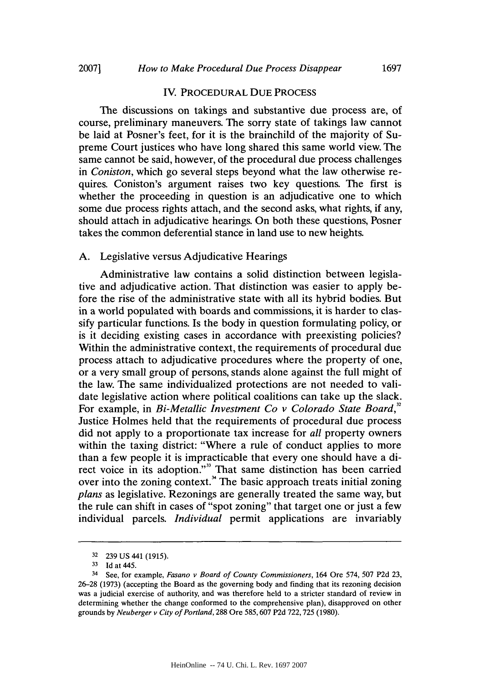#### IV. PROCEDURAL **DUE PROCESS**

The discussions on takings and substantive due process are, of course, preliminary maneuvers. The sorry state of takings law cannot be laid at Posner's feet, for it is the brainchild of the majority of Supreme Court justices who have long shared this same world view. The same cannot be said, however, of the procedural due process challenges *in Coniston,* which go several steps beyond what the law otherwise requires. Coniston's argument raises two key questions. The first is whether the proceeding in question is an adjudicative one to which some due process rights attach, and the second asks, what rights, if any, should attach in adjudicative hearings. On both these questions, Posner takes the common deferential stance in land use to new heights.

#### **A.** Legislative versus Adjudicative Hearings

Administrative law contains a solid distinction between legislative and adjudicative action. That distinction was easier to apply before the rise of the administrative state with all its hybrid bodies. But in a world populated with boards and commissions, it is harder to classify particular functions. Is the body in question formulating policy, or is it deciding existing cases in accordance with preexisting policies? Within the administrative context, the requirements of procedural due process attach to adjudicative procedures where the property of one, or a very small group of persons, stands alone against the full might of the law. The same individualized protections are not needed to validate legislative action where political coalitions can take up the slack. For example, in *Bi-Metallic Investment Co v Colorado State Board,"* Justice Holmes held that the requirements of procedural due process did not apply to a proportionate tax increase for *all* property owners within the taxing district: "Where a rule of conduct applies to more than a few people it is impracticable that every one should have a direct voice in its adoption."<sup>33</sup> That same distinction has been carried over into the zoning context.<sup>34</sup> The basic approach treats initial zoning *plans* as legislative. Rezonings are generally treated the same way, but the rule can shift in cases of "spot zoning" that target one or just a few individual parcels. *Individual* permit applications are invariably

**<sup>32</sup>239 US** 441 *(1915).*

**<sup>33</sup> Id** at 445.

<sup>34</sup> See, for example, *Fasano v Board of County Commissioners,* 164 Ore 574, **507 P2d 23, 26-28 (1973)** (accepting the Board as the governing body and finding that its rezoning decision was a judicial exercise of authority, and was therefore held to a stricter standard of review in determining whether the change conformed to the comprehensive plan), disapproved on other grounds **by** *Neuberger v City of Portland,* **288** Ore **585,607 P2d 722,725 (1980).**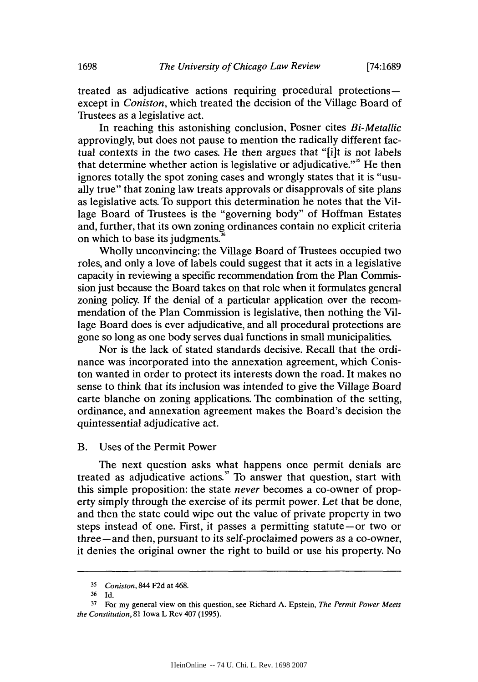treated as adjudicative actions requiring procedural protectionsexcept in *Coniston,* which treated the decision of the Village Board of Trustees as a legislative act.

In reaching this astonishing conclusion, Posner cites *Bi-Metallic* approvingly, but does not pause to mention the radically different factual contexts in the two cases. He then argues that "[i]t is not labels that determine whether action is legislative or adjudicative."<sup>35</sup> He then ignores totally the spot zoning cases and wrongly states that it is "usually true" that zoning law treats approvals or disapprovals of site plans as legislative acts. To support this determination he notes that the Village Board of Trustees is the "governing body" of Hoffman Estates and, further, that its own zoning ordinances contain no explicit criteria on which to base its judgments."

Wholly unconvincing: the Village Board of Trustees occupied two roles, and only a love of labels could suggest that it acts in a legislative capacity in reviewing a specific recommendation from the Plan Commission just because the Board takes on that role when it formulates general zoning policy. **If** the denial of a particular application over the recommendation of the Plan Commission is legislative, then nothing the Village Board does is ever adjudicative, and all procedural protections are gone so long as one body serves dual functions in small municipalities.

Nor is the lack of stated standards decisive. Recall that the ordinance was incorporated into the annexation agreement, which Coniston wanted in order to protect its interests down the road. It makes no sense to think that its inclusion was intended to give the Village Board carte blanche on zoning applications. The combination of the setting, ordinance, and annexation agreement makes the Board's decision the quintessential adjudicative act.

#### B. Uses of the Permit Power

The next question asks what happens once permit denials are treated as adjudicative actions." To answer that question, start with this simple proposition: the state *never* becomes a co-owner of property simply through the exercise of its permit power. Let that be done, and then the state could wipe out the value of private property in two steps instead of one. First, it passes a permitting statute-or two or three-and then, pursuant to its self-proclaimed powers as a co-owner, it denies the original owner the right to build or use his property. No

**<sup>35</sup>***Coniston,* 844 **F2d** at 468.

**<sup>36</sup>Id.**

**<sup>37</sup>**For my general view on this question, see Richard **A.** Epstein, *The Permit Power Meets the Constitution,* **81** Iowa L Rev 407 **(1995).**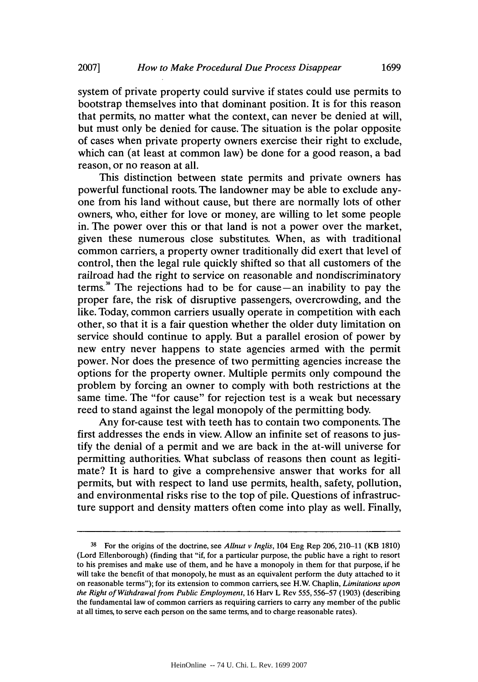system of private property could survive if states could use permits to bootstrap themselves into that dominant position. It is for this reason that permits, no matter what the context, can never be denied at will, but must only be denied for cause. The situation is the polar opposite of cases when private property owners exercise their right to exclude, which can (at least at common law) be done for a good reason, a bad reason, or no reason at all.

This distinction between state permits and private owners has powerful functional roots. The landowner may be able to exclude anyone from his land without cause, but there are normally lots of other owners, who, either for love or money, are willing to let some people in. The power over this or that land is not a power over the market, given these numerous close substitutes. When, as with traditional common carriers, a property owner traditionally did exert that level of control, then the legal rule quickly shifted so that all customers of the railroad had the right to service on reasonable and nondiscriminatory terms.<sup>38</sup> The rejections had to be for cause $-$ an inability to pay the proper fare, the risk of disruptive passengers, overcrowding, and the like. Today, common carriers usually operate in competition with each other, so that it is a fair question whether the older duty limitation on service should continue to apply. But a parallel erosion of power **by** new entry never happens to state agencies armed with the permit power. Nor does the presence of two permitting agencies increase the options for the property owner. Multiple permits only compound the problem **by** forcing an owner to comply with both restrictions at the same time. The "for cause" for rejection test is a weak but necessary reed to stand against the legal monopoly of the permitting body.

Any for-cause test with teeth has to contain two components. The first addresses the ends in view. Allow an infinite set of reasons to **jus**tify the denial of a permit and we are back in the at-will universe for permitting authorities. What subclass of reasons then count as legitimate? It is hard to give a comprehensive answer that works for all permits, but with respect to land use permits, health, safety, pollution, and environmental risks rise to the top of pile. Questions of infrastructure support and density matters often come into play as well. Finally,

**<sup>38</sup>**For the origins of the doctrine, see *Allnut v Inglis,* 104 Eng Rep **206,** 210-11 (KB **1810)** (Lord Ellenborough) (finding that "if, for a particular purpose, the public have a right to resort to his premises and make use of them, and he have a monopoly in them for that purpose, if he will take the benefit of that monopoly, he must as an equivalent perform the duty attached to it on reasonable terms"); for its extension to common carriers, see H.W. Chaplin, *Limitations upon the Right of Withdrawal from Public Employment,* **16** Harv L Rev *555,* **556-57 (1903)** (describing the fundamental law of common carriers as requiring carriers to carry any member of the public at all times, to serve each person on the same terms, and to charge reasonable rates).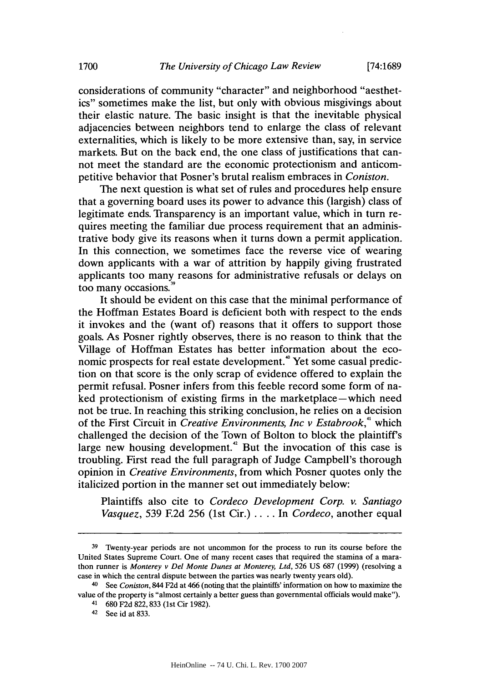considerations of community "character" and neighborhood "aesthetics" sometimes make the list, but only with obvious misgivings about their elastic nature. The basic insight is that the inevitable physical adjacencies between neighbors tend to enlarge the class of relevant externalities, which is likely to be more extensive than, say, in service markets. But on the back end, the one class of justifications that cannot meet the standard are the economic protectionism and anticompetitive behavior that Posner's brutal realism embraces in *Coniston.*

The next question is what set of rules and procedures help ensure that a governing board uses its power to advance this (largish) class of legitimate ends. Transparency is an important value, which in turn requires meeting the familiar due process requirement that an administrative body give its reasons when it turns down a permit application. In this connection, we sometimes face the reverse vice of wearing down applicants with a war of attrition **by** happily giving frustrated applicants too many reasons for administrative refusals or delays on too many occasions.<sup>3</sup>

It should be evident on this case that the minimal performance of the Hoffman Estates Board is deficient both with respect to the ends it invokes and the (want of) reasons that it offers to support those goals. As Posner rightly observes, there is no reason to think that the Village of Hoffman Estates has better information about the economic prospects for real estate development." Yet some casual prediction on that score is the only scrap of evidence offered to explain the permit refusal. Posner infers from this feeble record some form of naked protectionism of existing firms in the marketplace—which need not be true. In reaching this striking conclusion, he relies on a decision of the First Circuit in *Creative Environments, Inc v Estabrook," which* challenged the decision of the Town of Bolton to block the plaintiff's large new housing development.<sup>42</sup> But the invocation of this case is troubling. First read the full paragraph of Judge Campbell's thorough opinion in *Creative Environments,* from which Posner quotes only the italicized portion in the manner set out immediately below:

Plaintiffs also cite to *Cordeco Development Corp. v. Santiago Vasquez, 539* **E2d** *256* (1st Cir.) **.. . .** *In Cordeco,* another equal

**<sup>39</sup>**Tventy-year periods are not uncommon for the process to run its course before the United States Supreme Court. One of many recent cases that required the stamina of a marathon runner is *Monterey v Del Monte Dunes at Monterey, Ltd,* **526 US 687 (1999)** (resolving a case in which the central dispute between the parties was nearly twenty years old).

<sup>40</sup> See *Coniston,* 844 **F2d** at 466 (noting that the plaintiffs' information on how to maximize the value of the property is "almost certainly a better guess than governmental officials would make").

<sup>41 680</sup> F2d 822,833 (1st Cir 1982).

<sup>42</sup> See id at **833.**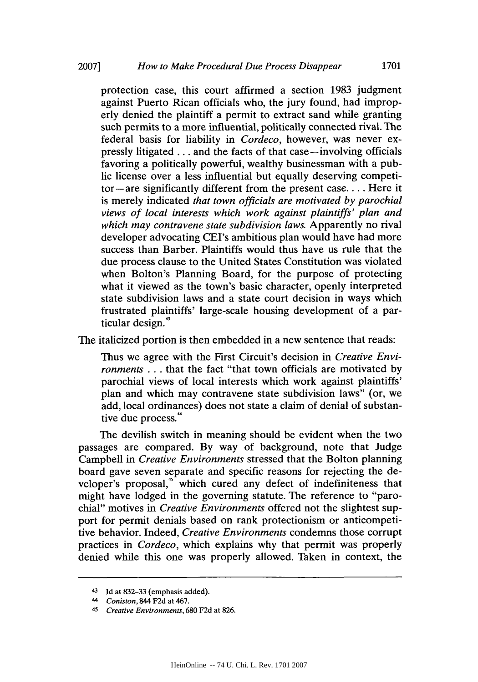protection case, this court affirmed a section **1983** judgment against Puerto Rican officials who, the jury found, had improperly denied the plaintiff a permit to extract sand while granting such permits to a more influential, politically connected rival. The federal basis for liability in *Cordeco,* however, was never expressly litigated **. ..** and the facts of that case-involving officials favoring a politically powerful, wealthy businessman with a public license over a less influential but equally deserving competitor-are significantly different from the present **case....** Here it is merely indicated *that town officials are motivated by parochial views of local interests which work against plaintiffs' plan and which may contravene state subdivision laws.* Apparently no rival developer advocating CEI's ambitious plan would have had more success than Barber. Plaintiffs would thus have us rule that the due process clause to the United States Constitution was violated when Bolton's Planning Board, for the purpose of protecting what it viewed as the town's basic character, openly interpreted state subdivision laws and a state court decision in ways which frustrated plaintiffs' large-scale housing development of a particular design."

The italicized portion is then embedded in a new sentence that reads:

Thus we agree with the First Circuit's decision in *Creative Environments* **...** that the fact "that town officials are motivated **by** parochial views of local interests which work against plaintiffs' plan and which may contravene state subdivision laws" (or, we add, local ordinances) does not state a claim of denial of substantive due process."

The devilish switch in meaning should be evident when the two passages are compared. **By** way of background, note that Judge Campbell in *Creative Environments* stressed that the Bolton planning board gave seven separate and specific reasons for rejecting the developer's proposal,<sup>45</sup> which cured any defect of indefiniteness that might have lodged in the governing statute. The reference to "parochial" motives in *Creative Environments* offered not the slightest support for permit denials based on rank protectionism or anticompetitive behavior. Indeed, *Creative Environments* condemns those corrupt practices in *Cordeco,* which explains why that permit was properly denied while this one was properly allowed. Taken in context, the

<sup>43</sup>**Id** at **832-33** (emphasis added).

*<sup>44</sup> Coniston,* 844 **F2d** at 467.

*<sup>45</sup>Creative Environments,* **680 F2d** at **826.**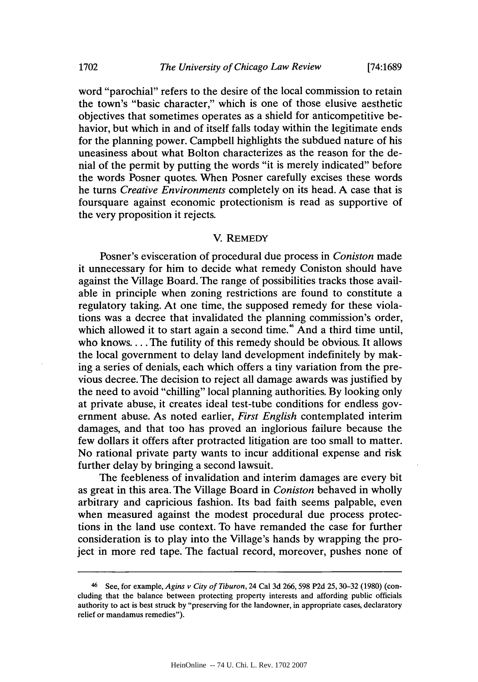word "parochial" refers to the desire of the local commission to retain the town's "basic character," which is one of those elusive aesthetic objectives that sometimes operates as a shield for anticompetitive behavior, but which in and of itself falls today within the legitimate ends for the planning power. Campbell highlights the subdued nature of his uneasiness about what Bolton characterizes as the reason for the denial of the permit **by** putting the words "it is merely indicated" before the words Posner quotes. When Posner carefully excises these words he turns *Creative Environments* completely on its head. **A** case that is foursquare against economic protectionism is read as supportive of the very proposition it rejects.

# V. **REMEDY**

Posner's evisceration of procedural due process in *Coniston made* it unnecessary for him to decide what remedy Coniston should have against the Village Board. The range of possibilities tracks those available in principle when zoning restrictions are found to constitute a regulatory taking. At one time, the supposed remedy for these violations was a decree that invalidated the planning commission's order, which allowed it to start again a second time.<sup>\*</sup> And a third time until, who **knows....** The futility of this remedy should be obvious. It allows the local government to delay land development indefinitely **by** making a series of denials, each which offers a tiny variation from the previous decree. The decision to reject all damage awards was justified **by** the need to avoid "chilling" local planning authorities. **By** looking only at private abuse, it creates ideal test-tube conditions for endless government abuse. As noted earlier, *First English* contemplated interim damages, and that too has proved an inglorious failure because the few dollars it offers after protracted litigation are too small to matter. No rational private party wants to incur additional expense and risk further delay **by** bringing a second lawsuit.

The feebleness of invalidation and interim damages are every bit as great in this area. The Village Board in *Coniston* behaved in wholly arbitrary and capricious fashion. Its bad faith seems palpable, even when measured against the modest procedural due process protections in the land use context. To have remanded the case for further consideration is to play into the Village's hands **by** wrapping the project in more red tape. The factual record, moreover, pushes none of

<sup>4</sup> See, for example, *Agins v City of Tiburon,* 24 Cal **3d 266,598 P2d 25, 30-32 (1980)** (concluding that the balance between protecting property interests and affording public officials authority to act is best struck **by** "preserving for the landowner, in appropriate cases, declaratory relief or mandamus remedies").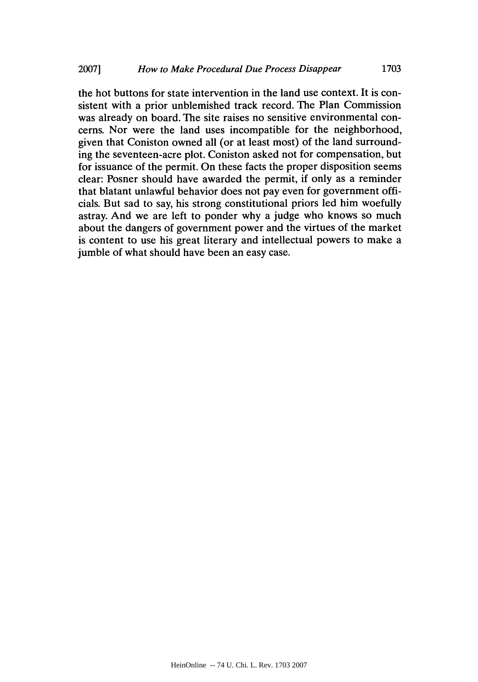the hot buttons for state intervention in the land use context. It is consistent with a prior unblemished track record. The Plan Commission was already on board. The site raises no sensitive environmental concerns. Nor were the land uses incompatible for the neighborhood, given that Coniston owned all (or at least most) of the land surrounding the seventeen-acre plot. Coniston asked not for compensation, but for issuance of the permit. On these facts the proper disposition seems clear: Posner should have awarded the permit, if only as a reminder that blatant unlawful behavior does not pay even for government officials. But sad to say, his strong constitutional priors led him woefully astray. And we are left to ponder why a judge who knows so much about the dangers of government power and the virtues of the market is content to use his great literary and intellectual powers to make a jumble of what should have been an easy case.